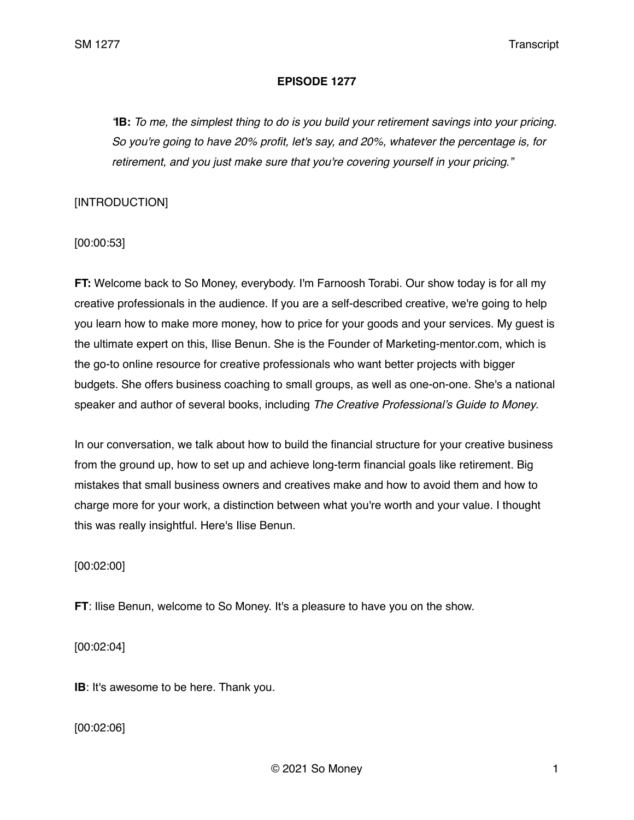#### **EPISODE 1277**

*"***IB:** *To me, the simplest thing to do is you build your retirement savings into your pricing. So you're going to have 20% profit, let's say, and 20%, whatever the percentage is, for retirement, and you just make sure that you're covering yourself in your pricing*.*"* 

### [INTRODUCTION]

[00:00:53]

**FT:** Welcome back to So Money, everybody. I'm Farnoosh Torabi. Our show today is for all my creative professionals in the audience. If you are a self-described creative, we're going to help you learn how to make more money, how to price for your goods and your services. My guest is the ultimate expert on this, Ilise Benun. She is the Founder of Marketing-mentor.com, which is the go-to online resource for creative professionals who want better projects with bigger budgets. She offers business coaching to small groups, as well as one-on-one. She's a national speaker and author of several books, including *The Creative Professional's Guide to Money*.

In our conversation, we talk about how to build the financial structure for your creative business from the ground up, how to set up and achieve long-term financial goals like retirement. Big mistakes that small business owners and creatives make and how to avoid them and how to charge more for your work, a distinction between what you're worth and your value. I thought this was really insightful. Here's Ilise Benun.

[00:02:00]

**FT**: Ilise Benun, welcome to So Money. It's a pleasure to have you on the show.

[00:02:04]

**IB**: It's awesome to be here. Thank you.

[00:02:06]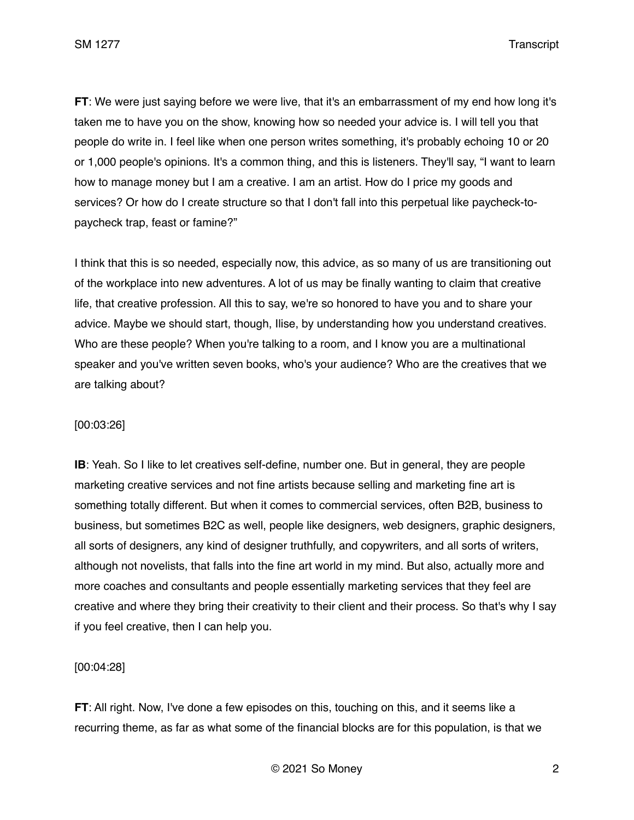**FT**: We were just saying before we were live, that it's an embarrassment of my end how long it's taken me to have you on the show, knowing how so needed your advice is. I will tell you that people do write in. I feel like when one person writes something, it's probably echoing 10 or 20 or 1,000 people's opinions. It's a common thing, and this is listeners. They'll say, "I want to learn how to manage money but I am a creative. I am an artist. How do I price my goods and services? Or how do I create structure so that I don't fall into this perpetual like paycheck-topaycheck trap, feast or famine?"

I think that this is so needed, especially now, this advice, as so many of us are transitioning out of the workplace into new adventures. A lot of us may be finally wanting to claim that creative life, that creative profession. All this to say, we're so honored to have you and to share your advice. Maybe we should start, though, Ilise, by understanding how you understand creatives. Who are these people? When you're talking to a room, and I know you are a multinational speaker and you've written seven books, who's your audience? Who are the creatives that we are talking about?

#### [00:03:26]

**IB**: Yeah. So I like to let creatives self-define, number one. But in general, they are people marketing creative services and not fine artists because selling and marketing fine art is something totally different. But when it comes to commercial services, often B2B, business to business, but sometimes B2C as well, people like designers, web designers, graphic designers, all sorts of designers, any kind of designer truthfully, and copywriters, and all sorts of writers, although not novelists, that falls into the fine art world in my mind. But also, actually more and more coaches and consultants and people essentially marketing services that they feel are creative and where they bring their creativity to their client and their process. So that's why I say if you feel creative, then I can help you.

[00:04:28]

**FT**: All right. Now, I've done a few episodes on this, touching on this, and it seems like a recurring theme, as far as what some of the financial blocks are for this population, is that we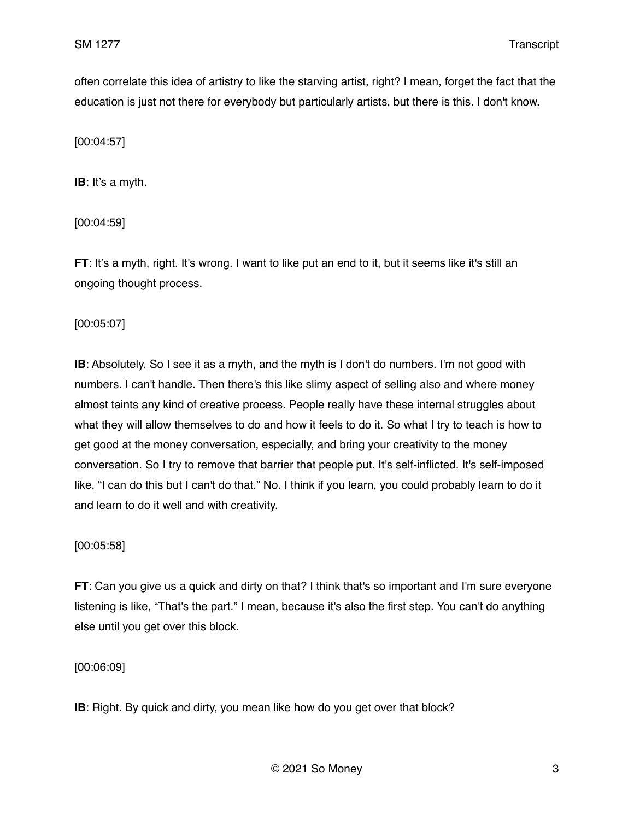often correlate this idea of artistry to like the starving artist, right? I mean, forget the fact that the education is just not there for everybody but particularly artists, but there is this. I don't know.

[00:04:57]

**IB**: It's a myth.

[00:04:59]

**FT**: It's a myth, right. It's wrong. I want to like put an end to it, but it seems like it's still an ongoing thought process.

[00:05:07]

**IB**: Absolutely. So I see it as a myth, and the myth is I don't do numbers. I'm not good with numbers. I can't handle. Then there's this like slimy aspect of selling also and where money almost taints any kind of creative process. People really have these internal struggles about what they will allow themselves to do and how it feels to do it. So what I try to teach is how to get good at the money conversation, especially, and bring your creativity to the money conversation. So I try to remove that barrier that people put. It's self-inflicted. It's self-imposed like, "I can do this but I can't do that." No. I think if you learn, you could probably learn to do it and learn to do it well and with creativity.

[00:05:58]

**FT**: Can you give us a quick and dirty on that? I think that's so important and I'm sure everyone listening is like, "That's the part." I mean, because it's also the first step. You can't do anything else until you get over this block.

[00:06:09]

**IB**: Right. By quick and dirty, you mean like how do you get over that block?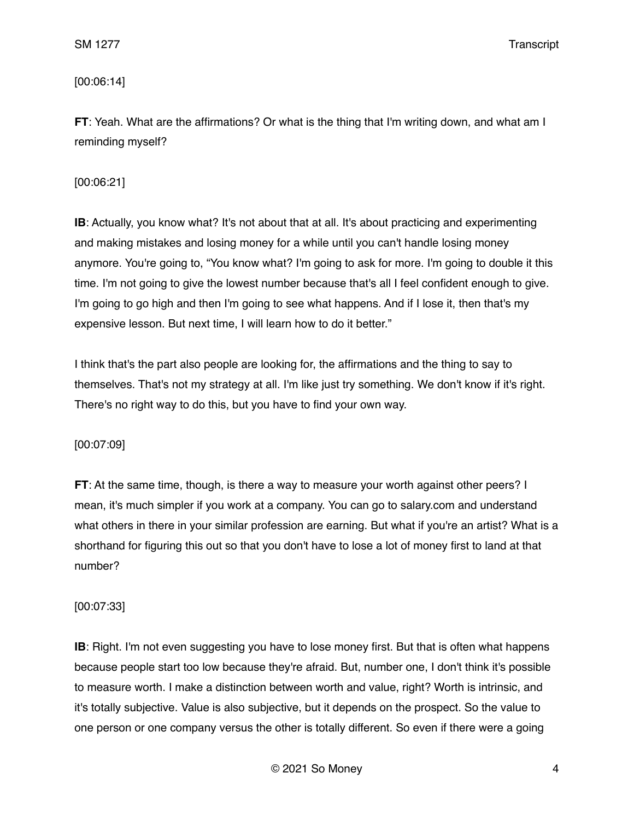# [00:06:14]

**FT**: Yeah. What are the affirmations? Or what is the thing that I'm writing down, and what am I reminding myself?

## [00:06:21]

**IB**: Actually, you know what? It's not about that at all. It's about practicing and experimenting and making mistakes and losing money for a while until you can't handle losing money anymore. You're going to, "You know what? I'm going to ask for more. I'm going to double it this time. I'm not going to give the lowest number because that's all I feel confident enough to give. I'm going to go high and then I'm going to see what happens. And if I lose it, then that's my expensive lesson. But next time, I will learn how to do it better."

I think that's the part also people are looking for, the affirmations and the thing to say to themselves. That's not my strategy at all. I'm like just try something. We don't know if it's right. There's no right way to do this, but you have to find your own way.

[00:07:09]

**FT**: At the same time, though, is there a way to measure your worth against other peers? I mean, it's much simpler if you work at a company. You can go to salary.com and understand what others in there in your similar profession are earning. But what if you're an artist? What is a shorthand for figuring this out so that you don't have to lose a lot of money first to land at that number?

## [00:07:33]

**IB**: Right. I'm not even suggesting you have to lose money first. But that is often what happens because people start too low because they're afraid. But, number one, I don't think it's possible to measure worth. I make a distinction between worth and value, right? Worth is intrinsic, and it's totally subjective. Value is also subjective, but it depends on the prospect. So the value to one person or one company versus the other is totally different. So even if there were a going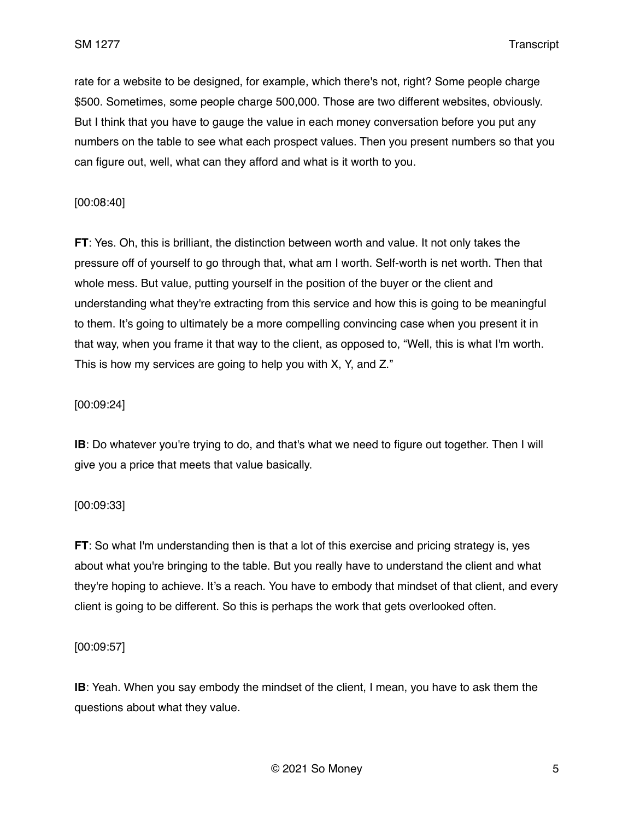rate for a website to be designed, for example, which there's not, right? Some people charge \$500. Sometimes, some people charge 500,000. Those are two different websites, obviously. But I think that you have to gauge the value in each money conversation before you put any numbers on the table to see what each prospect values. Then you present numbers so that you can figure out, well, what can they afford and what is it worth to you.

### [00:08:40]

**FT**: Yes. Oh, this is brilliant, the distinction between worth and value. It not only takes the pressure off of yourself to go through that, what am I worth. Self-worth is net worth. Then that whole mess. But value, putting yourself in the position of the buyer or the client and understanding what they're extracting from this service and how this is going to be meaningful to them. It's going to ultimately be a more compelling convincing case when you present it in that way, when you frame it that way to the client, as opposed to, "Well, this is what I'm worth. This is how my services are going to help you with X, Y, and Z."

### [00:09:24]

**IB**: Do whatever you're trying to do, and that's what we need to figure out together. Then I will give you a price that meets that value basically.

#### [00:09:33]

**FT**: So what I'm understanding then is that a lot of this exercise and pricing strategy is, yes about what you're bringing to the table. But you really have to understand the client and what they're hoping to achieve. It's a reach. You have to embody that mindset of that client, and every client is going to be different. So this is perhaps the work that gets overlooked often.

## [00:09:57]

**IB**: Yeah. When you say embody the mindset of the client, I mean, you have to ask them the questions about what they value.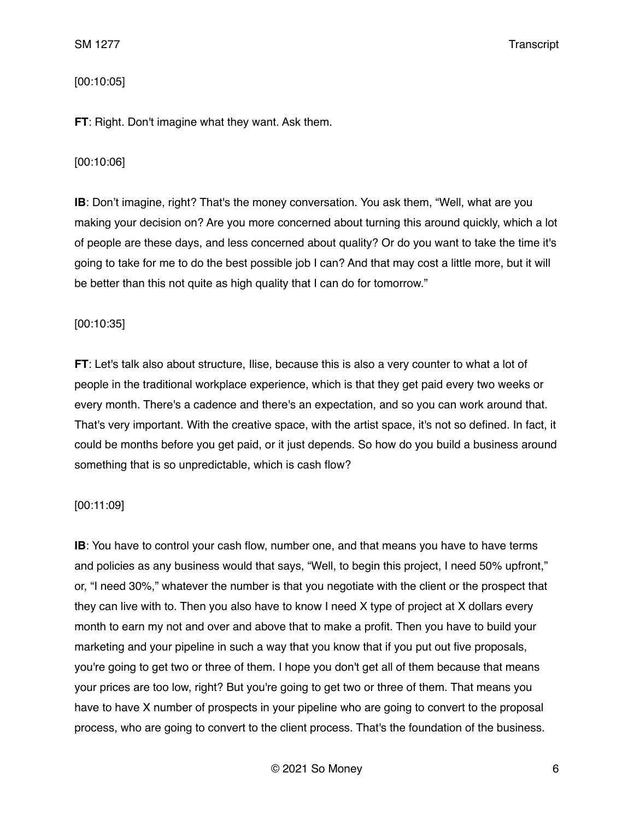### [00:10:05]

**FT**: Right. Don't imagine what they want. Ask them.

#### [00:10:06]

**IB**: Don't imagine, right? That's the money conversation. You ask them, "Well, what are you making your decision on? Are you more concerned about turning this around quickly, which a lot of people are these days, and less concerned about quality? Or do you want to take the time it's going to take for me to do the best possible job I can? And that may cost a little more, but it will be better than this not quite as high quality that I can do for tomorrow."

#### [00:10:35]

**FT**: Let's talk also about structure, Ilise, because this is also a very counter to what a lot of people in the traditional workplace experience, which is that they get paid every two weeks or every month. There's a cadence and there's an expectation, and so you can work around that. That's very important. With the creative space, with the artist space, it's not so defined. In fact, it could be months before you get paid, or it just depends. So how do you build a business around something that is so unpredictable, which is cash flow?

#### [00:11:09]

**IB**: You have to control your cash flow, number one, and that means you have to have terms and policies as any business would that says, "Well, to begin this project, I need 50% upfront," or, "I need 30%," whatever the number is that you negotiate with the client or the prospect that they can live with to. Then you also have to know I need X type of project at X dollars every month to earn my not and over and above that to make a profit. Then you have to build your marketing and your pipeline in such a way that you know that if you put out five proposals, you're going to get two or three of them. I hope you don't get all of them because that means your prices are too low, right? But you're going to get two or three of them. That means you have to have X number of prospects in your pipeline who are going to convert to the proposal process, who are going to convert to the client process. That's the foundation of the business.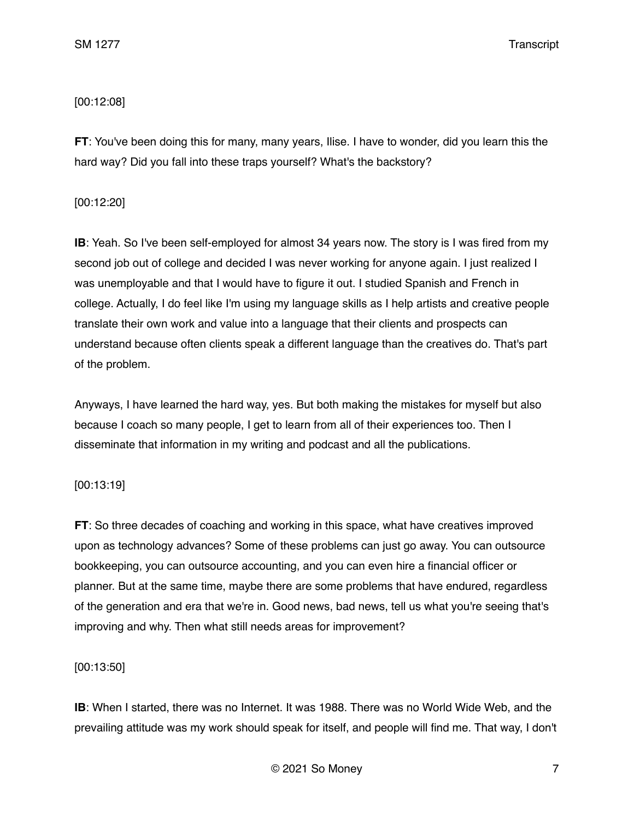## [00:12:08]

**FT**: You've been doing this for many, many years, Ilise. I have to wonder, did you learn this the hard way? Did you fall into these traps yourself? What's the backstory?

[00:12:20]

**IB**: Yeah. So I've been self-employed for almost 34 years now. The story is I was fired from my second job out of college and decided I was never working for anyone again. I just realized I was unemployable and that I would have to figure it out. I studied Spanish and French in college. Actually, I do feel like I'm using my language skills as I help artists and creative people translate their own work and value into a language that their clients and prospects can understand because often clients speak a different language than the creatives do. That's part of the problem.

Anyways, I have learned the hard way, yes. But both making the mistakes for myself but also because I coach so many people, I get to learn from all of their experiences too. Then I disseminate that information in my writing and podcast and all the publications.

## [00:13:19]

**FT**: So three decades of coaching and working in this space, what have creatives improved upon as technology advances? Some of these problems can just go away. You can outsource bookkeeping, you can outsource accounting, and you can even hire a financial officer or planner. But at the same time, maybe there are some problems that have endured, regardless of the generation and era that we're in. Good news, bad news, tell us what you're seeing that's improving and why. Then what still needs areas for improvement?

[00:13:50]

**IB**: When I started, there was no Internet. It was 1988. There was no World Wide Web, and the prevailing attitude was my work should speak for itself, and people will find me. That way, I don't

© 2021 So Money 7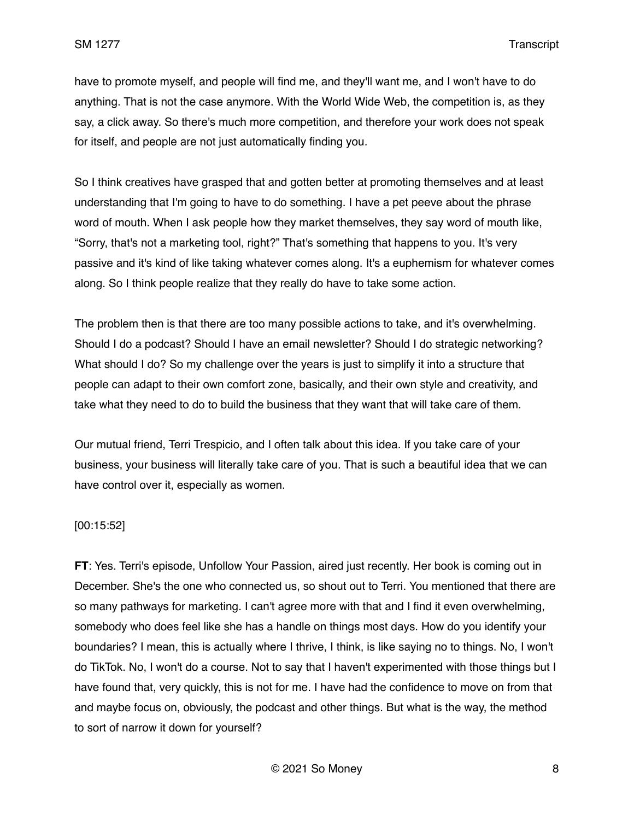have to promote myself, and people will find me, and they'll want me, and I won't have to do anything. That is not the case anymore. With the World Wide Web, the competition is, as they say, a click away. So there's much more competition, and therefore your work does not speak for itself, and people are not just automatically finding you.

So I think creatives have grasped that and gotten better at promoting themselves and at least understanding that I'm going to have to do something. I have a pet peeve about the phrase word of mouth. When I ask people how they market themselves, they say word of mouth like, "Sorry, that's not a marketing tool, right?" That's something that happens to you. It's very passive and it's kind of like taking whatever comes along. It's a euphemism for whatever comes along. So I think people realize that they really do have to take some action.

The problem then is that there are too many possible actions to take, and it's overwhelming. Should I do a podcast? Should I have an email newsletter? Should I do strategic networking? What should I do? So my challenge over the years is just to simplify it into a structure that people can adapt to their own comfort zone, basically, and their own style and creativity, and take what they need to do to build the business that they want that will take care of them.

Our mutual friend, Terri Trespicio, and I often talk about this idea. If you take care of your business, your business will literally take care of you. That is such a beautiful idea that we can have control over it, especially as women.

#### [00:15:52]

**FT**: Yes. Terri's episode, Unfollow Your Passion, aired just recently. Her book is coming out in December. She's the one who connected us, so shout out to Terri. You mentioned that there are so many pathways for marketing. I can't agree more with that and I find it even overwhelming, somebody who does feel like she has a handle on things most days. How do you identify your boundaries? I mean, this is actually where I thrive, I think, is like saying no to things. No, I won't do TikTok. No, I won't do a course. Not to say that I haven't experimented with those things but I have found that, very quickly, this is not for me. I have had the confidence to move on from that and maybe focus on, obviously, the podcast and other things. But what is the way, the method to sort of narrow it down for yourself?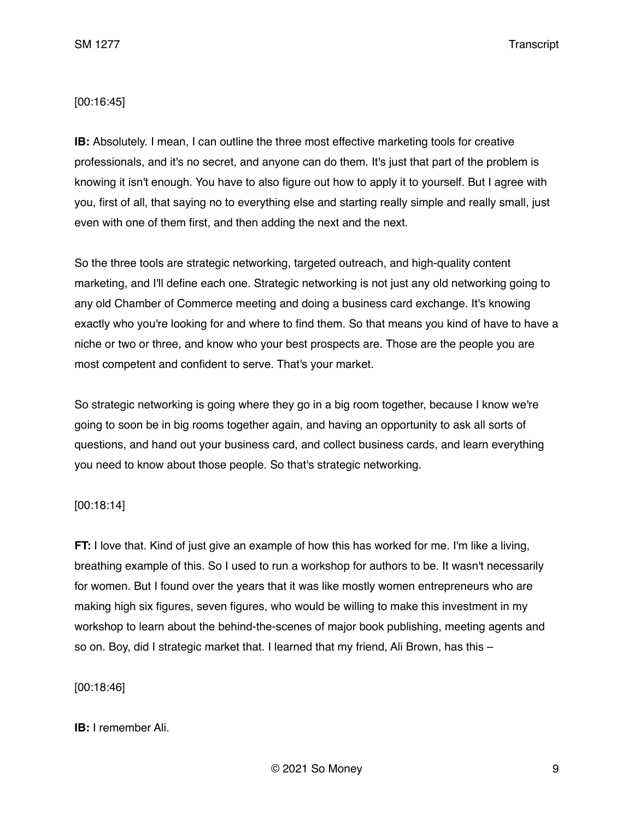## [00:16:45]

**IB:** Absolutely. I mean, I can outline the three most effective marketing tools for creative professionals, and it's no secret, and anyone can do them. It's just that part of the problem is knowing it isn't enough. You have to also figure out how to apply it to yourself. But I agree with you, first of all, that saying no to everything else and starting really simple and really small, just even with one of them first, and then adding the next and the next.

So the three tools are strategic networking, targeted outreach, and high-quality content marketing, and I'll define each one. Strategic networking is not just any old networking going to any old Chamber of Commerce meeting and doing a business card exchange. It's knowing exactly who you're looking for and where to find them. So that means you kind of have to have a niche or two or three, and know who your best prospects are. Those are the people you are most competent and confident to serve. That's your market.

So strategic networking is going where they go in a big room together, because I know we're going to soon be in big rooms together again, and having an opportunity to ask all sorts of questions, and hand out your business card, and collect business cards, and learn everything you need to know about those people. So that's strategic networking.

## [00:18:14]

**FT:** I love that. Kind of just give an example of how this has worked for me. I'm like a living, breathing example of this. So I used to run a workshop for authors to be. It wasn't necessarily for women. But I found over the years that it was like mostly women entrepreneurs who are making high six figures, seven figures, who would be willing to make this investment in my workshop to learn about the behind-the-scenes of major book publishing, meeting agents and so on. Boy, did I strategic market that. I learned that my friend, Ali Brown, has this –

[00:18:46]

## **IB:** I remember Ali.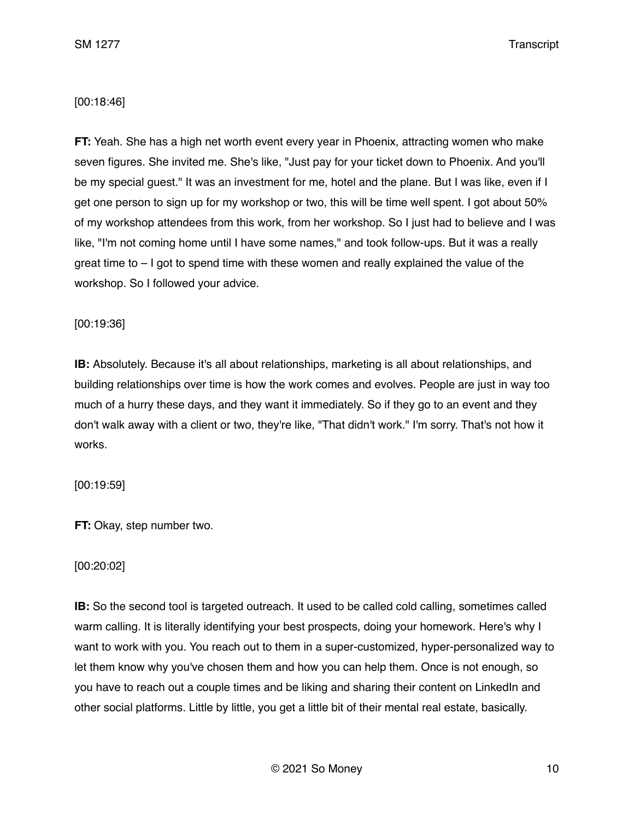### [00:18:46]

**FT:** Yeah. She has a high net worth event every year in Phoenix, attracting women who make seven figures. She invited me. She's like, "Just pay for your ticket down to Phoenix. And you'll be my special guest." It was an investment for me, hotel and the plane. But I was like, even if I get one person to sign up for my workshop or two, this will be time well spent. I got about 50% of my workshop attendees from this work, from her workshop. So I just had to believe and I was like, "I'm not coming home until I have some names," and took follow-ups. But it was a really  $q$  great time to  $-1$  got to spend time with these women and really explained the value of the workshop. So I followed your advice.

#### [00:19:36]

**IB:** Absolutely. Because it's all about relationships, marketing is all about relationships, and building relationships over time is how the work comes and evolves. People are just in way too much of a hurry these days, and they want it immediately. So if they go to an event and they don't walk away with a client or two, they're like, "That didn't work." I'm sorry. That's not how it works.

#### [00:19:59]

**FT:** Okay, step number two.

#### [00:20:02]

**IB:** So the second tool is targeted outreach. It used to be called cold calling, sometimes called warm calling. It is literally identifying your best prospects, doing your homework. Here's why I want to work with you. You reach out to them in a super-customized, hyper-personalized way to let them know why you've chosen them and how you can help them. Once is not enough, so you have to reach out a couple times and be liking and sharing their content on LinkedIn and other social platforms. Little by little, you get a little bit of their mental real estate, basically.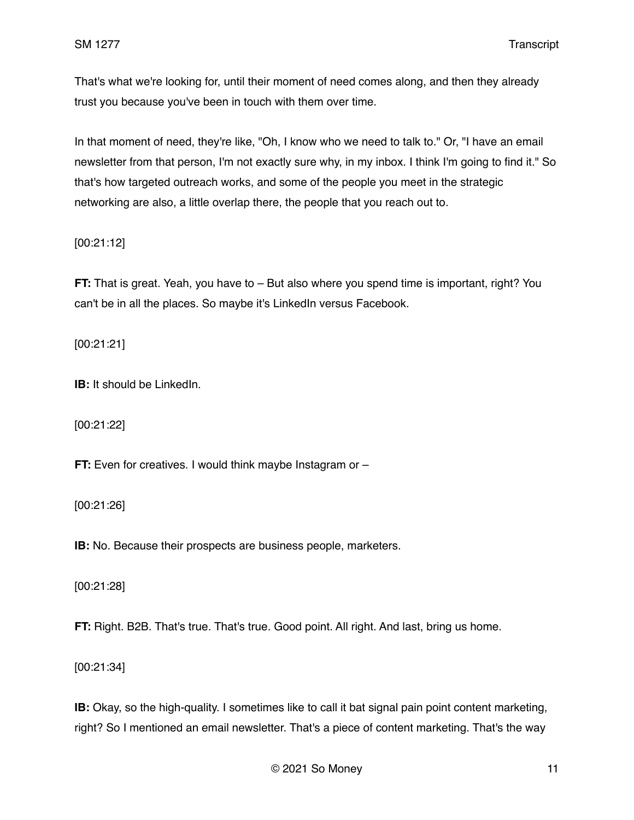That's what we're looking for, until their moment of need comes along, and then they already trust you because you've been in touch with them over time.

In that moment of need, they're like, "Oh, I know who we need to talk to." Or, "I have an email newsletter from that person, I'm not exactly sure why, in my inbox. I think I'm going to find it." So that's how targeted outreach works, and some of the people you meet in the strategic networking are also, a little overlap there, the people that you reach out to.

[00:21:12]

**FT:** That is great. Yeah, you have to – But also where you spend time is important, right? You can't be in all the places. So maybe it's LinkedIn versus Facebook.

[00:21:21]

**IB:** It should be LinkedIn.

[00:21:22]

**FT:** Even for creatives. I would think maybe Instagram or –

[00:21:26]

**IB:** No. Because their prospects are business people, marketers.

[00:21:28]

**FT:** Right. B2B. That's true. That's true. Good point. All right. And last, bring us home.

[00:21:34]

**IB:** Okay, so the high-quality. I sometimes like to call it bat signal pain point content marketing, right? So I mentioned an email newsletter. That's a piece of content marketing. That's the way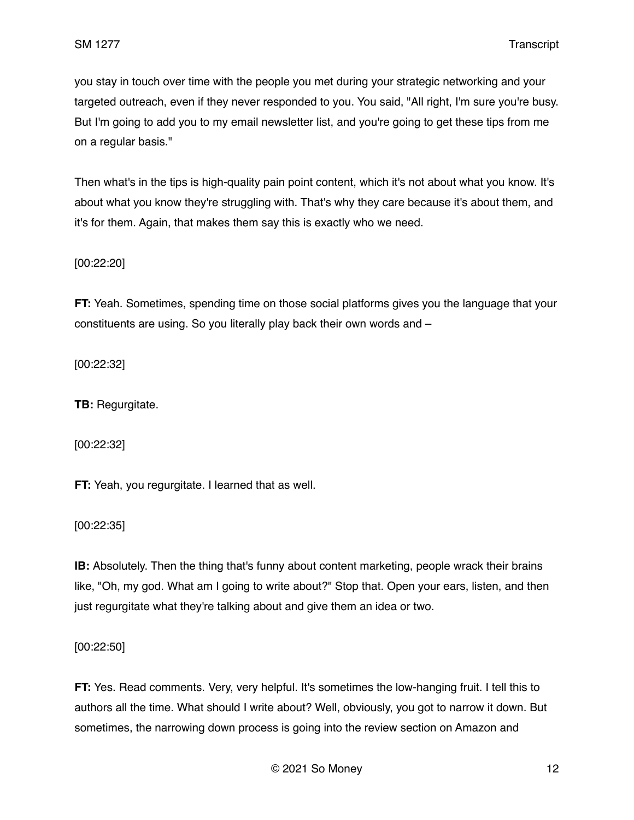you stay in touch over time with the people you met during your strategic networking and your targeted outreach, even if they never responded to you. You said, "All right, I'm sure you're busy. But I'm going to add you to my email newsletter list, and you're going to get these tips from me on a regular basis."

Then what's in the tips is high-quality pain point content, which it's not about what you know. It's about what you know they're struggling with. That's why they care because it's about them, and it's for them. Again, that makes them say this is exactly who we need.

[00:22:20]

**FT:** Yeah. Sometimes, spending time on those social platforms gives you the language that your constituents are using. So you literally play back their own words and –

[00:22:32]

**TB:** Regurgitate.

[00:22:32]

**FT:** Yeah, you regurgitate. I learned that as well.

[00:22:35]

**IB:** Absolutely. Then the thing that's funny about content marketing, people wrack their brains like, "Oh, my god. What am I going to write about?" Stop that. Open your ears, listen, and then just regurgitate what they're talking about and give them an idea or two.

[00:22:50]

**FT:** Yes. Read comments. Very, very helpful. It's sometimes the low-hanging fruit. I tell this to authors all the time. What should I write about? Well, obviously, you got to narrow it down. But sometimes, the narrowing down process is going into the review section on Amazon and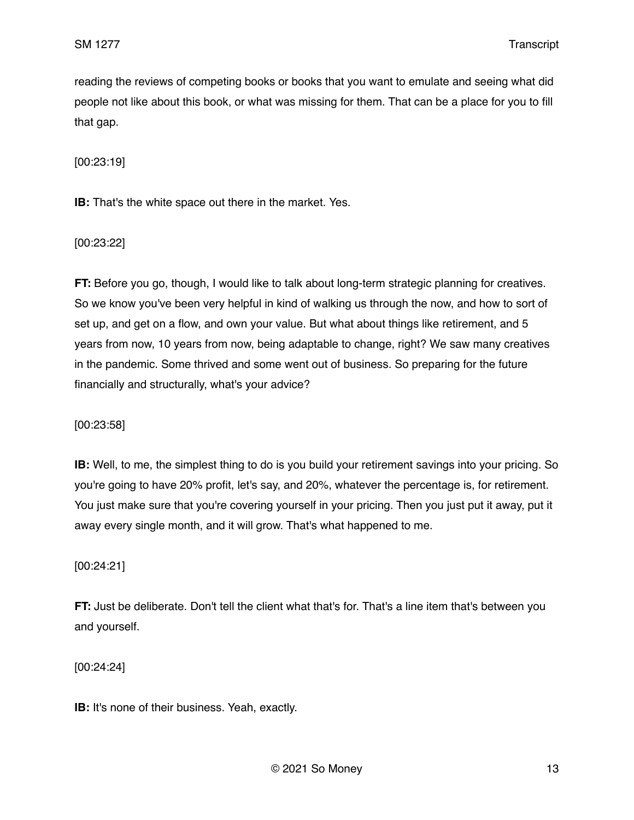reading the reviews of competing books or books that you want to emulate and seeing what did people not like about this book, or what was missing for them. That can be a place for you to fill that gap.

[00:23:19]

**IB:** That's the white space out there in the market. Yes.

[00:23:22]

**FT:** Before you go, though, I would like to talk about long-term strategic planning for creatives. So we know you've been very helpful in kind of walking us through the now, and how to sort of set up, and get on a flow, and own your value. But what about things like retirement, and 5 years from now, 10 years from now, being adaptable to change, right? We saw many creatives in the pandemic. Some thrived and some went out of business. So preparing for the future financially and structurally, what's your advice?

[00:23:58]

**IB:** Well, to me, the simplest thing to do is you build your retirement savings into your pricing. So you're going to have 20% profit, let's say, and 20%, whatever the percentage is, for retirement. You just make sure that you're covering yourself in your pricing. Then you just put it away, put it away every single month, and it will grow. That's what happened to me.

[00:24:21]

**FT:** Just be deliberate. Don't tell the client what that's for. That's a line item that's between you and yourself.

[00:24:24]

**IB:** It's none of their business. Yeah, exactly.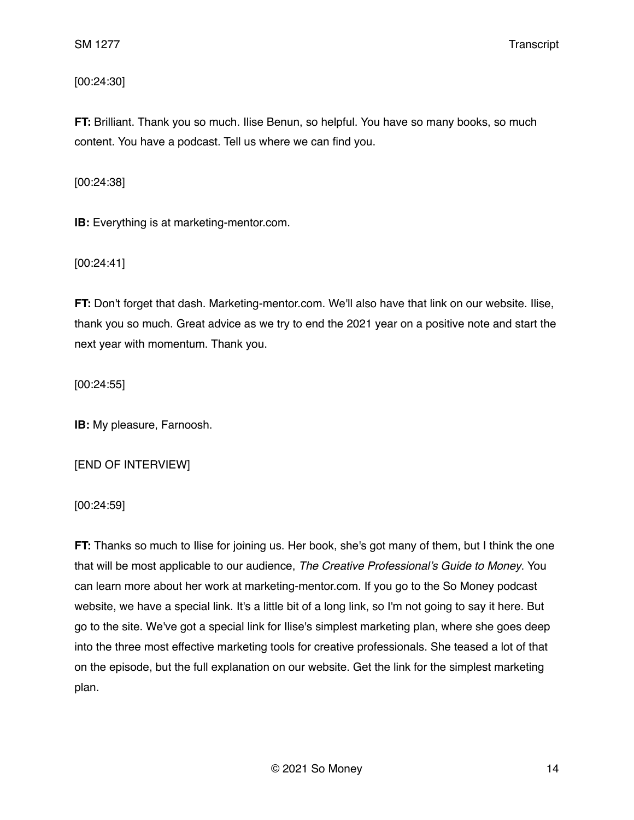[00:24:30]

**FT:** Brilliant. Thank you so much. Ilise Benun, so helpful. You have so many books, so much content. You have a podcast. Tell us where we can find you.

[00:24:38]

**IB:** Everything is at marketing-mentor.com.

[00:24:41]

**FT:** Don't forget that dash. Marketing-mentor.com. We'll also have that link on our website. Ilise, thank you so much. Great advice as we try to end the 2021 year on a positive note and start the next year with momentum. Thank you.

[00:24:55]

**IB:** My pleasure, Farnoosh.

[END OF INTERVIEW]

[00:24:59]

**FT:** Thanks so much to Ilise for joining us. Her book, she's got many of them, but I think the one that will be most applicable to our audience, *The Creative Professional's Guide to Money*. You can learn more about her work at marketing-mentor.com. If you go to the So Money podcast website, we have a special link. It's a little bit of a long link, so I'm not going to say it here. But go to the site. We've got a special link for Ilise's simplest marketing plan, where she goes deep into the three most effective marketing tools for creative professionals. She teased a lot of that on the episode, but the full explanation on our website. Get the link for the simplest marketing plan.